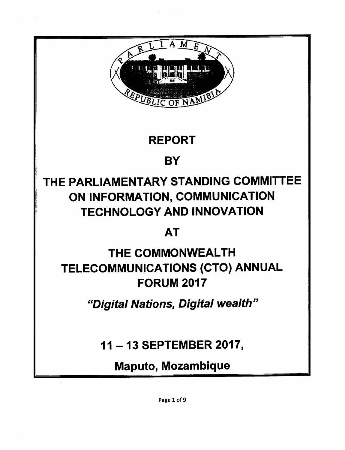

## REPORT

## **BY**

# THE PARLIAMENTARY STANDING COMMITTEE ON INFORMATION, COMMUNICATION TECHNOLOGY AND INNOVATION

## AT

# THE COMMONWEALTH TELECOMMUNICATIONS (CTO) ANNUAL FORUM 2017

*IIDigital Nations, Digital wealth"*

11 - 13 SEPTEMBER 2017,

Maputo, Mozambique

Page 1 of 9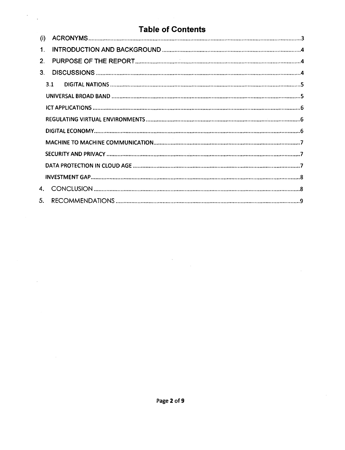## **Table of Contents**

 $\overline{\phantom{a}}$ l,

 $\cdot$ 

| (i)            |     |  |  |  |
|----------------|-----|--|--|--|
| $\mathbf 1$    |     |  |  |  |
| 2 <sub>1</sub> |     |  |  |  |
| 3 <sub>1</sub> |     |  |  |  |
|                | 3.1 |  |  |  |
|                |     |  |  |  |
|                |     |  |  |  |
|                |     |  |  |  |
|                |     |  |  |  |
|                |     |  |  |  |
|                |     |  |  |  |
|                |     |  |  |  |
|                |     |  |  |  |
|                |     |  |  |  |
| 5.             |     |  |  |  |

 $\label{eq:2} \frac{1}{\sqrt{2}}\sum_{i=1}^n\frac{1}{\sqrt{2}}\sum_{i=1}^n\frac{1}{\sqrt{2}}\sum_{i=1}^n\frac{1}{\sqrt{2}}\sum_{i=1}^n\frac{1}{\sqrt{2}}\sum_{i=1}^n\frac{1}{\sqrt{2}}\sum_{i=1}^n\frac{1}{\sqrt{2}}\sum_{i=1}^n\frac{1}{\sqrt{2}}\sum_{i=1}^n\frac{1}{\sqrt{2}}\sum_{i=1}^n\frac{1}{\sqrt{2}}\sum_{i=1}^n\frac{1}{\sqrt{2}}\sum_{i=1}^n\frac{1$ 

 $\mathcal{L}_{\mathcal{A}}$ 

 $\mathcal{A}$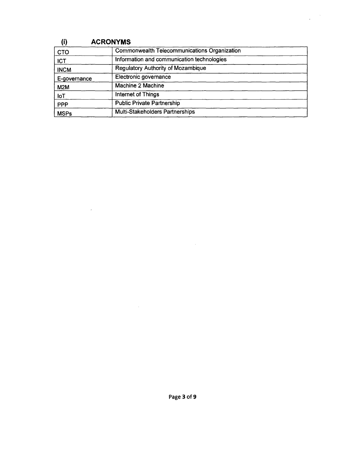| (i)              | <b>ACRONYMS</b>                                     |
|------------------|-----------------------------------------------------|
| <b>CTO</b>       | <b>Commonwealth Telecommunications Organization</b> |
| <b>ICT</b>       | Information and communication technologies          |
| <b>INCM</b>      | <b>Regulatory Authority of Mozambique</b>           |
| E-governance     | Electronic governance                               |
| M <sub>2</sub> M | Machine 2 Machine                                   |
| $I \circ T$      | Internet of Things                                  |
| <b>PPP</b>       | <b>Public Private Partnership</b>                   |
| <b>MSPs</b>      | Multi-Stakeholders Partnerships                     |

 $\sim 10^{-10}$ 

 $\sim$  $\mathcal{L}$ 

 $\label{eq:2} \frac{1}{\sqrt{2}}\left(\frac{1}{\sqrt{2}}\right)^{2} \left(\frac{1}{\sqrt{2}}\right)^{2} \left(\frac{1}{\sqrt{2}}\right)^{2} \left(\frac{1}{\sqrt{2}}\right)^{2} \left(\frac{1}{\sqrt{2}}\right)^{2} \left(\frac{1}{\sqrt{2}}\right)^{2} \left(\frac{1}{\sqrt{2}}\right)^{2} \left(\frac{1}{\sqrt{2}}\right)^{2} \left(\frac{1}{\sqrt{2}}\right)^{2} \left(\frac{1}{\sqrt{2}}\right)^{2} \left(\frac{1}{\sqrt{2}}\right)^{2} \left(\frac{$ 

 $\mathcal{L}(\mathcal{A})$  and  $\mathcal{L}(\mathcal{A})$  .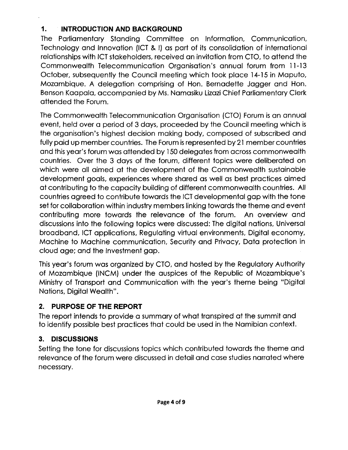## **1. INTRODUCTION AND BACKGROUND**

The Parliamentary Standing Committee on Information, Communication, Technology and Innovation (ICT& I) as part of its consolidation of international relationships with ICT stakeholders, received an invitation from CTO, to attend the Commonwealth Telecommunication Organisation's annual forum from 11-13 October, subsequently the Council meeting which took place 14-15 in Maputo, Mozambique. A delegation comprising of Hon. Bernadette Jagger and Hon. Benson Kaapala, accompanied by Ms. Namasiku Lizazi Chief Parliamentary Clerk attended the Forum.

The Commonwealth Telecommunication Organisation (CTO) Forum is an annual event, held over a period of 3 days, proceeded by the Council meeting which is the organisation's highest decision making body, composed of subscribed and fully paid up member countries. The Forum is represented by 21 member countries and this year's forum was attended by 150 delegates from across commonwealth countries. Over the 3 days of the forum, different topics were deliberated on which were all aimed at the development of the Commonwealth sustainable development goals, experiences where shared as well as best practices aimed at contributing to the capacity building of different commonwealth countries. All countries agreed to contribute towards the ICT developmental gap with the tone set for collaboration within industry members linking towards the theme and event contributing more towards the relevance of the forum. An overview and discussions into the following topics were discussed: The digital nations, Universal broadband, ICT applications, Regulating virtual environments, Digital economy, Machine to Machine communication, Security and Privacy, Data protection in cloud age; and the Investment gap.

Thisyear's forum was organized by CTO, and hosted by the Regulatory Authority of Mozambique (INCM) under the auspices of the Republic of Mozambique's Ministry of Transport and Communication with the year's theme being "Digital Nations, Digital Wealth".

## **2. PURPOSE OF THE REPORT**

The report intends to provide a summary of what transpired at the summit and to identify possible best practices that could be used in the Namibian context.

## **3. DISCUSSIONS**

Setting the tone for discussions topics which contributed towards the theme and relevance of the forum were discussed in detail and case studies narrated where necessary.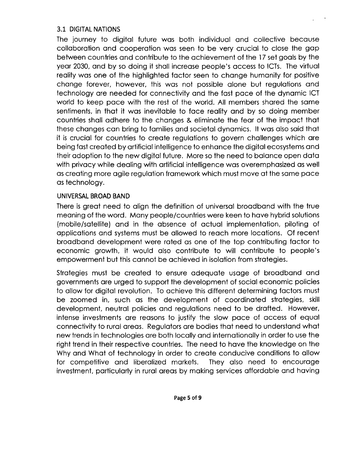#### 3.1 DIGITAL NATIONS

The journey to digital future was both individual and collective because collaboration and cooperation was seen to be very crucial to close the gap between countries and contribute to the achievement of the 17set goals by the year 2030, and by so doing it shall increase people's access to ICTs. The virtual reality was one of the highlighted factor seen to change humanity for positive change forever, however, this was not possible alone but regulations and technology are needed for connectivity and the fast pace of the dynamic ICT world to keep pace with the rest of the world. All members shared the same sentiments, in that it was inevitable to face reality and by so doing member countries shall adhere to the changes & eliminate the fear of the impact that these changes can bring to families and societal dynamics. It was also said that it is crucial for countries to create regulations to govern challenges which are being fast created by artificial intelligence to enhance the digital ecosystems and their adoption to the new digital future. More so the need to balance open data with privacy while dealing with artificial intelligence was overemphasized as well as creating more agile regulation framework which must move at the same pace as technology.

#### UNIVERSAL BROAD BAND

There is great need to align the definition of universal broadband with the true meaning of the word. Many people/countries were keen to have hybrid solutions (mobile/satellite) and in the absence of actual implementation, piloting of applications and systems must be allowed to reach more locations. Of recent broadband development were rated as one of the top contributing factor to economic growth, it would also contribute to will contribute to people's empowerment but this cannot be achieved in isolation from strategies.

Strategies must be created to ensure adequate usage of broadband and governments are urged to support the development of social economic policies to allow for digital revolution. To achieve this different determining factors must be zoomed in, such as the development of coordinated strategies, skill development, neutral policies and regulations need to be drafted. However, intense investments are reasons to justify the slow pace of access of equal connectivity to rural areas. Regulators are bodies that need to understand what new trends in technologies are both locally and internationally in order to use the right trend in their respective countries. The need to have the knowledge on the Why and What of technology in order to create conducive conditions to allow for competitive and liberalized markets. They also need to encourage investment, particularly in rural areas by making services affordable and having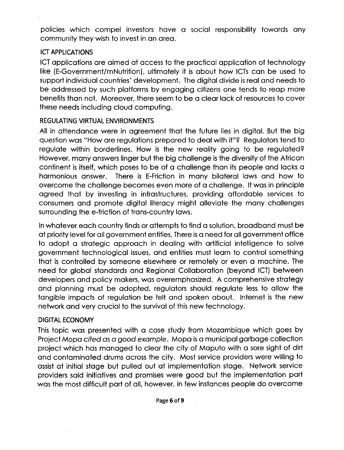policies which compel investors have a social responsibility towards any community they wish to invest in an area.

#### **ICT APPLICATIONS**

ICT applications are aimed at access to the practical application of technology like (E-Government/mNutrition), ultimately it is about how ICTs can be used to support individual countries' development. The digital divide is real and needs to be addressed by such platforms by engaging citizens one tends to reap more benefits than not. Moreover, there seem to be a clear lack of resources to cover these needs including cloud computing.

#### REGULATING VIRTUAL ENVIRONMENTS

All in attendance were in agreement that the future lies in digital. But the big question was "How are regulations prepared to deal with it"? Regulators tend to regulate within borderlines. How is the new reality going to be regulated? However, many answers linger but the big challenge is the diversity of the African continent is itself, which poses to be of a challenge than its people and lacks a harmonious answer. There is E-Friction in many bilateral laws and how to overcome the challenge becomes even more of a challenge. It was in principle agreed that by investing in infrastructures, providing affordable services to consumers and promote digital literacy might alleviate the many challenges surrounding the e-friction of trans-country laws.

Inwhatever each country finds or attempts to find a solution, broadband must be at priority level for all government entities, There is a need for all government office to adopt a strategic approach in dealing with artificial intelligence to solve government technological issues, and entities must learn to control something that is controlled by someone elsewhere or remotely or even a machine. The need for global standards and Regional Collaboration (beyond ICT) between developers and policy makers, was overemphasized. A comprehensive strategy and planning must be adopted, regulators should regulate less to allow the tangible impacts of regulation be felt and spoken about. Internet is the new network and very crucial to the survival of this new technology.

#### DIGITAL ECONOMY

This topic was presented with a case study from Mozambique which goes by Project *Mopa cited* as a *good example.* Mopa isa municipal garbage collection project which has managed to clear the city of Maputo with a sore sight of dirt and contaminated drums across the city. Most service providers were willing to assist at initial stage but pulled out at implementation stage. Network service providers said initiatives and promises were good but the implementation part was the most difficult part of all, however, in few instances people do overcome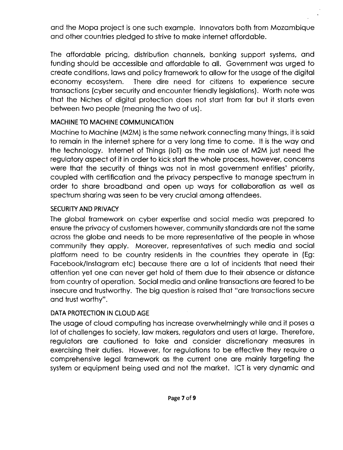and the Mopa project is one such example. Innovators both from Mozambique and other countries pledged to strive to make internet affordable.

The affordable pricing, distribution channels, banking support systems, and funding should be accessible and affordable to all. Government was urged to create conditions, laws and policy framework to allow for the usage of the digital economy ecosystem. There dire need for citizens to experience secure transactions (cyber security and encounter friendly legislations). Worth note was that the Niches of digital protection does not start from far but it starts even between two people (meaning the two of us).

#### MACHINE TO MACHINE COMMUNICATION

Machine to Machine (M2M) is the same network connecting many things, it is said to remain in the internet sphere for a very long time to come. It is the way and the technology. Internet of Things (loT) as the main use of M2M just need the regulatory aspect of it in order to kick start the whole process, however, concerns were that the security of things was not in most government entities' priority, coupled with certification and the privacy perspective to manage spectrum in order to share broadband and open up ways for collaboration as well as spectrum sharing was seen to be very crucial among attendees.

#### SECURITY AND PRIVACY

The global framework on cyber expertise and social media was prepared to ensure the privacy of customers however, community standards are not the same across the globe and needs to be more representative of the people in whose community they apply. Moreover, representatives of such media and social platform need to be country residents in the countries they operate in (Eg: Facebook/lnstagram etc) because there are a lot of incidents that need their attention yet one can never get hold of them due to their absence or distance from country of operation. Social media and online transactions are feared to be insecure and trustworthy. The big question israised that "are transactions secure and trust worthy".

#### DATA PROTECTION IN CLOUD AGE

The usage of cloud computing has increase overwhelmingly while and it poses a lot of challenges to society, law makers, regulators and users at large. Therefore, regulators are cautioned to take and consider discretionary measures in exercising their duties. However, for regulations to be effective they require a comprehensive legal framework as the current one are mainly targeting the system or equipment being used and not the market. ICT is very dynamic and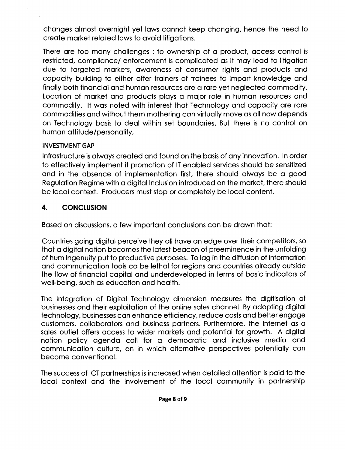changes almost overnight yet laws cannot keep changing, hence the need to create market related laws to avoid litigations.

There are too many challenges: to ownership of a product, access control is restricted, compliance/ enforcement is complicated as it may lead to litigation due to targeted markets, awareness of consumer rights and products and capacity building to either offer trainers of trainees to impart knowledge and finally both financial and human resources are a rare yet neglected commodity. Location of market and products plays a major role in human resources and commodity. It was noted with interest that Technology and capacity are rare commodities and without them mothering can virtually move as all now depends on Technology basis to deal within set boundaries. But there is no control on human attitude/personality,

#### INVESTMENT GAP

Infrastructure is always created and found on the basis of any innovation. In order to effectively implement it promotion of IT enabled services should be sensitized and in the absence of implementation first, there should always be a good Regulation Regime with a digital Inclusion introduced on the market, there should be local context. Producers must stop or completely be local content,

### 4. **CONCLUSION**

Based on discussions, a few important conclusions can be drawn that:

Countries going digital perceive they all have an edge over their competitors, so that a digital nation becomes the latest beacon of preeminence in the unfolding of hum ingenuity put to productive purposes. Tolag in the diffusion of information and communication tools ca be lethal for regions and countries already outside the flow of financial capital and underdeveloped in terms of basic indicators of well-being, such as education and health.

The Integration of Digital Technology dimension measures the digitisation of businesses and their exploitation of the online sales channel. By adopting digital technology, businesses can enhance efficiency, reduce costs and better engage customers, collaborators and business partners. Furthermore, the Internet as a sales outlet offers access to wider markets and potential for growth. A digital nation policy agenda call for a democratic and inclusive media and communication culture, on in which alternative perspectives potentially can become conventional.

The success of ICT partnerships is increased when detailed attention is paid to the local context and the involvement of the local community in partnership